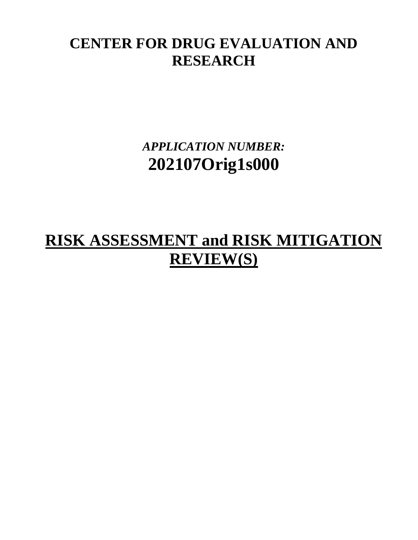## **CENTER FOR DRUG EVALUATION AND RESEARCH**

*APPLICATION NUMBER:* **202107Orig1s000**

# **RISK ASSESSMENT and RISK MITIGATION REVIEW(S)**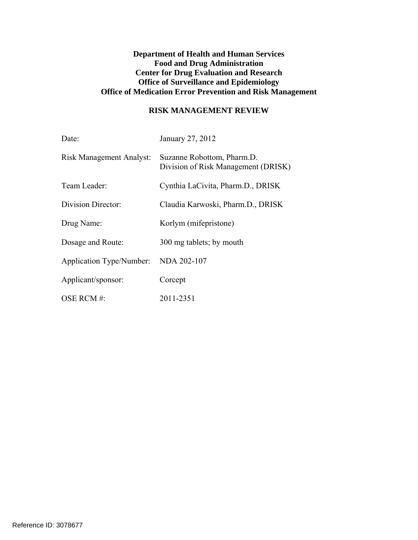#### **Department of Health and Human Services Food and Drug Administration Center for Drug Evaluation and Research Office of Surveillance and Epidemiology Office of Medication Error Prevention and Risk Management**

#### **RISK MANAGEMENT REVIEW**

| Date:                           | January 27, 2012                                                  |
|---------------------------------|-------------------------------------------------------------------|
| <b>Risk Management Analyst:</b> | Suzanne Robottom, Pharm.D.<br>Division of Risk Management (DRISK) |
| Team Leader:                    | Cynthia LaCivita, Pharm.D., DRISK                                 |
| Division Director:              | Claudia Karwoski, Pharm.D., DRISK                                 |
| Drug Name:                      | Korlym (mifepristone)                                             |
| Dosage and Route:               | 300 mg tablets; by mouth                                          |
| <b>Application Type/Number:</b> | NDA 202-107                                                       |
| Applicant/sponsor:              | Corcept                                                           |
| OSE RCM #:                      | 2011-2351                                                         |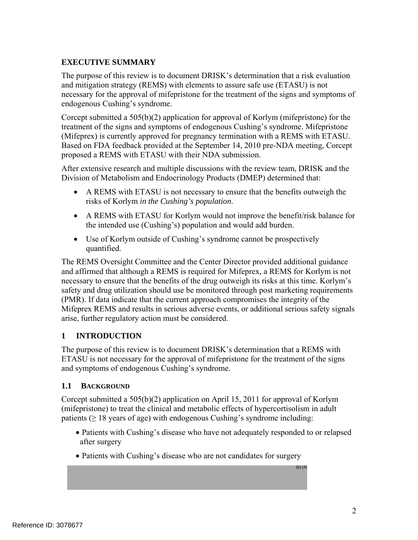## **EXECUTIVE SUMMARY**

The purpose of this review is to document DRISK's determination that a risk evaluation and mitigation strategy (REMS) with elements to assure safe use (ETASU) is not necessary for the approval of mifepristone for the treatment of the signs and symptoms of endogenous Cushing's syndrome.

Corcept submitted a 505(b)(2) application for approval of Korlym (mifepristone) for the treatment of the signs and symptoms of endogenous Cushing's syndrome. Mifepristone (Mifeprex) is currently approved for pregnancy termination with a REMS with ETASU. Based on FDA feedback provided at the September 14, 2010 pre-NDA meeting, Corcept proposed a REMS with ETASU with their NDA submission.

After extensive research and multiple discussions with the review team, DRISK and the Division of Metabolism and Endocrinology Products (DMEP) determined that:

- A REMS with ETASU is not necessary to ensure that the benefits outweigh the risks of Korlym *in the Cushing's population*.
- A REMS with ETASU for Korlym would not improve the benefit/risk balance for the intended use (Cushing's) population and would add burden.
- Use of Korlym outside of Cushing's syndrome cannot be prospectively quantified.

The REMS Oversight Committee and the Center Director provided additional guidance and affirmed that although a REMS is required for Mifeprex, a REMS for Korlym is not necessary to ensure that the benefits of the drug outweigh its risks at this time. Korlym's safety and drug utilization should use be monitored through post marketing requirements (PMR). If data indicate that the current approach compromises the integrity of the Mifeprex REMS and results in serious adverse events, or additional serious safety signals arise, further regulatory action must be considered.

## **1 INTRODUCTION**

The purpose of this review is to document DRISK's determination that a REMS with ETASU is not necessary for the approval of mifepristone for the treatment of the signs and symptoms of endogenous Cushing's syndrome.

#### **1.1 BACKGROUND**

Corcept submitted a 505(b)(2) application on April 15, 2011 for approval of Korlym (mifepristone) to treat the clinical and metabolic effects of hypercortisolism in adult patients ( $\geq 18$  years of age) with endogenous Cushing's syndrome including:

- Patients with Cushing's disease who have not adequately responded to or relapsed after surgery
- Patients with Cushing's disease who are not candidates for surgery

(b) (4)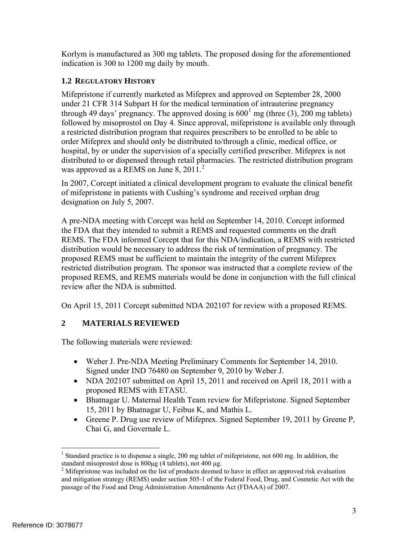Korlym is manufactured as 300 mg tablets. The proposed dosing for the aforementioned indication is 300 to 1200 mg daily by mouth.

## **1.2 REGULATORY HISTORY**

Mifepristone if currently marketed as Mifeprex and approved on September 28, 2000 under 21 CFR 314 Subpart H for the medical termination of intrauterine pregnancy through 49 days' pregnancy. The approved dosing is  $600^1$  mg (three (3), 200 mg tablets) followed by misoprostol on Day 4. Since approval, mifepristone is available only through a restricted distribution program that requires prescribers to be enrolled to be able to order Mifeprex and should only be distributed to/through a clinic, medical office, or hospital, by or under the supervision of a specially certified prescriber. Mifeprex is not distributed to or dispensed through retail pharmacies. The restricted distribution program was approved as a REMS on June 8,  $2011$ .<sup>2</sup>

In 2007, Corcept initiated a clinical development program to evaluate the clinical benefit of mifepristone in patients with Cushing's syndrome and received orphan drug designation on July 5, 2007.

A pre-NDA meeting with Corcept was held on September 14, 2010. Corcept informed the FDA that they intended to submit a REMS and requested comments on the draft REMS. The FDA informed Corcept that for this NDA/indication, a REMS with restricted distribution would be necessary to address the risk of termination of pregnancy. The proposed REMS must be sufficient to maintain the integrity of the current Mifeprex restricted distribution program. The sponsor was instructed that a complete review of the proposed REMS, and REMS materials would be done in conjunction with the full clinical review after the NDA is submitted.

On April 15, 2011 Corcept submitted NDA 202107 for review with a proposed REMS.

## **2 MATERIALS REVIEWED**

The following materials were reviewed:

- Weber J. Pre-NDA Meeting Preliminary Comments for September 14, 2010. Signed under IND 76480 on September 9, 2010 by Weber J.
- NDA 202107 submitted on April 15, 2011 and received on April 18, 2011 with a proposed REMS with ETASU.
- Bhatnagar U. Maternal Health Team review for Mifepristone. Signed September 15, 2011 by Bhatnagar U, Feibus K, and Mathis L.
- Greene P. Drug use review of Mifeprex. Signed September 19, 2011 by Greene P, Chai G, and Governale L.

 $\overline{a}$ <sup>1</sup> Standard practice is to dispense a single, 200 mg tablet of mifepristone, not 600 mg. In addition, the standard misoprostol dose is 800μg (4 tablets), not 400 μg. 2

<sup>&</sup>lt;sup>2</sup> Mifepristone was included on the list of products deemed to have in effect an approved risk evaluation and mitigation strategy (REMS) under section 505-1 of the Federal Food, Drug, and Cosmetic Act with the passage of the Food and Drug Administration Amendments Act (FDAAA) of 2007.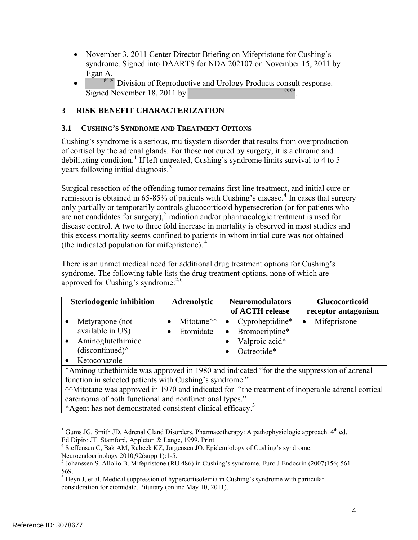- November 3, 2011 Center Director Briefing on Mifepristone for Cushing's syndrome. Signed into DAARTS for NDA 202107 on November 15, 2011 by Egan A.
- $\bullet$  (b) (6) Division of Reproductive and Urology Products consult response. Signed November 18, 2011 by (b) (6)

## **3 RISK BENEFIT CHARACTERIZATION**

#### **3.1 CUSHING'S SYNDROME AND TREATMENT OPTIONS**

Cushing's syndrome is a serious, multisystem disorder that results from overproduction of cortisol by the adrenal glands. For those not cured by surgery, it is a chronic and debilitating condition.<sup>4</sup> If left untreated, Cushing's syndrome limits survival to 4 to 5 years following initial diagnosis.<sup>3</sup>

Surgical resection of the offending tumor remains first line treatment, and initial cure or remission is obtained in 65-85% of patients with Cushing's disease.<sup>4</sup> In cases that surgery only partially or temporarily controls glucocorticoid hypersecretion (or for patients who are not candidates for surgery), $5$  radiation and/or pharmacologic treatment is used for disease control. A two to three fold increase in mortality is observed in most studies and this excess mortality seems confined to patients in whom initial cure was *not* obtained (the indicated population for mifepristone). <sup>4</sup>

There is an unmet medical need for additional drug treatment options for Cushing's syndrome. The following table lists the drug treatment options, none of which are approved for Cushing's syndrome: $^{2,6}$ 

| <b>Steriodogenic inhibition</b> |                           | <b>Adrenolytic</b> |                   | <b>Neuromodulators</b> |                 | <b>Glucocorticoid</b> |                     |
|---------------------------------|---------------------------|--------------------|-------------------|------------------------|-----------------|-----------------------|---------------------|
|                                 |                           |                    |                   |                        | of ACTH release |                       | receptor antagonism |
|                                 | Metyrapone (not           |                    | Mitotane $\wedge$ |                        | Cyproheptidine* | $\bullet$             | Mifepristone        |
|                                 | available in US)          |                    | Etomidate         |                        | Bromocriptine*  |                       |                     |
|                                 | Aminoglutethimide         |                    |                   |                        | Valproic acid*  |                       |                     |
|                                 | $(discontinued)^{\wedge}$ |                    |                   |                        | Octreotide*     |                       |                     |
|                                 | Ketoconazole              |                    |                   |                        |                 |                       |                     |

^Aminogluthethimide was approved in 1980 and indicated "for the the suppression of adrenal function in selected patients with Cushing's syndrome."

^^Mitotane was approved in 1970 and indicated for "the treatment of inoperable adrenal cortical carcinoma of both functional and nonfunctional types."

\*Agent has not demonstrated consistent clinical efficacy.<sup>3</sup>

 $\overline{a}$ 

<sup>&</sup>lt;sup>3</sup> Gums JG, Smith JD. Adrenal Gland Disorders. Pharmacotherapy: A pathophysiologic approach. 4<sup>th</sup> ed. Ed Dipiro JT. Stamford, Appleton & Lange, 1999. Print.

<sup>&</sup>lt;sup>4</sup> Steffensen C, Bak AM, Rubeck KZ, Jorgensen JO. Epidemiology of Cushing's syndrome.

Neuroendocrinology 2010;92(supp 1):1-5.

<sup>&</sup>lt;sup>5</sup> Johanssen S. Allolio B. Mifepristone (RU 486) in Cushing's syndrome. Euro J Endocrin (2007)156; 561-569.

<sup>&</sup>lt;sup>6</sup> Heyn J, et al. Medical suppression of hypercortisolemia in Cushing's syndrome with particular consideration for etomidate. Pituitary (online May 10, 2011).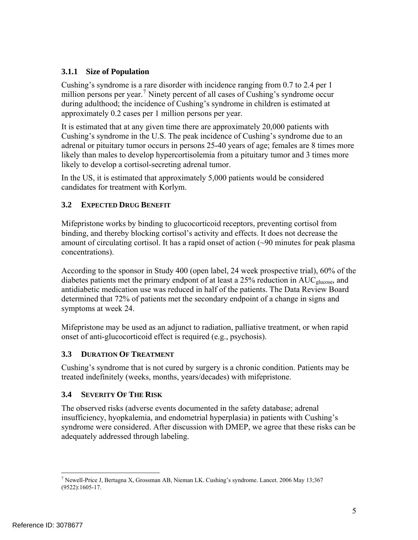## **3.1.1 Size of Population**

Cushing's syndrome is a rare disorder with incidence ranging from 0.7 to 2.4 per 1 million persons per year.<sup>7</sup> Ninety percent of all cases of Cushing's syndrome occur during adulthood; the incidence of Cushing's syndrome in children is estimated at approximately 0.2 cases per 1 million persons per year.

It is estimated that at any given time there are approximately 20,000 patients with Cushing's syndrome in the U.S. The peak incidence of Cushing's syndrome due to an adrenal or pituitary tumor occurs in persons 25-40 years of age; females are 8 times more likely than males to develop hypercortisolemia from a pituitary tumor and 3 times more likely to develop a cortisol-secreting adrenal tumor.

In the US, it is estimated that approximately 5,000 patients would be considered candidates for treatment with Korlym.

#### **3.2 EXPECTED DRUG BENEFIT**

Mifepristone works by binding to glucocorticoid receptors, preventing cortisol from binding, and thereby blocking cortisol's activity and effects. It does not decrease the amount of circulating cortisol. It has a rapid onset of action (~90 minutes for peak plasma concentrations).

According to the sponsor in Study 400 (open label, 24 week prospective trial), 60% of the diabetes patients met the primary endpont of at least a 25% reduction in AUC<sub>glucose</sub>, and antidiabetic medication use was reduced in half of the patients. The Data Review Board determined that 72% of patients met the secondary endpoint of a change in signs and symptoms at week 24.

Mifepristone may be used as an adjunct to radiation, palliative treatment, or when rapid onset of anti-glucocorticoid effect is required (e.g., psychosis).

## **3.3 DURATION OF TREATMENT**

Cushing's syndrome that is not cured by surgery is a chronic condition. Patients may be treated indefinitely (weeks, months, years/decades) with mifepristone.

#### **3.4 SEVERITY OF THE RISK**

The observed risks (adverse events documented in the safety database; adrenal insufficiency, hyopkalemia, and endometrial hyperplasia) in patients with Cushing's syndrome were considered. After discussion with DMEP, we agree that these risks can be adequately addressed through labeling.

 $\overline{a}$ <sup>7</sup> Newell-Price J, Bertagna X, Grossman AB, Nieman LK. Cushing's syndrome. Lancet. 2006 May 13;367 (9522):1605-17.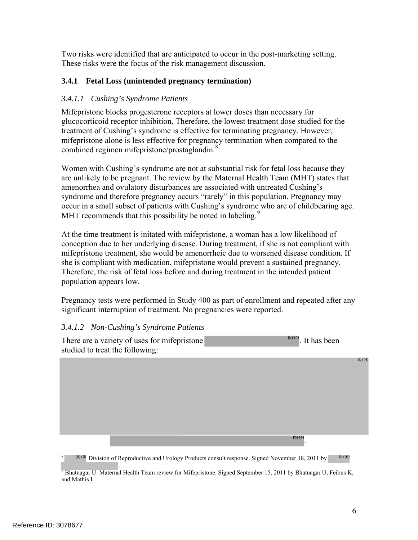Two risks were identified that are anticipated to occur in the post-marketing setting. These risks were the focus of the risk management discussion.

## **3.4.1 Fetal Loss (unintended pregnancy termination)**

#### *3.4.1.1 Cushing's Syndrome Patients*

Mifepristone blocks progesterone receptors at lower doses than necessary for glucocorticoid receptor inhibition. Therefore, the lowest treatment dose studied for the treatment of Cushing's syndrome is effective for terminating pregnancy. However, mifepristone alone is less effective for pregnancy termination when compared to the combined regimen mifepristone/prostaglandin.<sup>8</sup>

Women with Cushing's syndrome are not at substantial risk for fetal loss because they are unlikely to be pregnant. The review by the Maternal Health Team (MHT) states that amenorrhea and ovulatory disturbances are associated with untreated Cushing's syndrome and therefore pregnancy occurs "rarely" in this population. Pregnancy may occur in a small subset of patients with Cushing's syndrome who are of childbearing age. MHT recommends that this possibility be noted in labeling.<sup>9</sup>

At the time treatment is initated with mifepristone, a woman has a low likelihood of conception due to her underlying disease. During treatment, if she is not compliant with mifepristone treatment, she would be amenorrheic due to worsened disease condition. If she is compliant with medication, mifepristone would prevent a sustained pregnancy. Therefore, the risk of fetal loss before and during treatment in the intended patient population appears low.

Pregnancy tests were performed in Study 400 as part of enrollment and repeated after any significant interruption of treatment. No pregnancies were reported.

#### *3.4.1.2 Non-Cushing's Syndrome Patients*

There are a variety of uses for mifepristone  $\mathbb{P}^{(4)}$ . It has been studied to treat the following: (b) (4) (b) (4)

.

(b) (4)

<sup>1</sup> 8  $\langle \cdot \rangle$  (b) (6) Division of Reproductive and Urology Products consult response. Signed November 18, 2011 by (b) (6)

erternal Fealth Team review for Mifepristone. Signed September 15, 2011 by Bhatnagar U, Feibus K,<br>Material Health Team review for Mifepristone. Signed September 15, 2011 by Bhatnagar U, Feibus K, and Mathis L.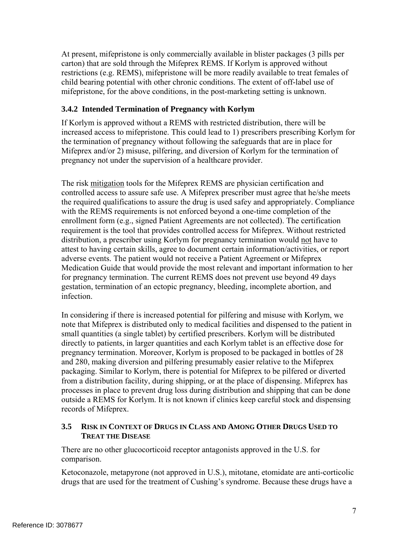At present, mifepristone is only commercially available in blister packages (3 pills per carton) that are sold through the Mifeprex REMS. If Korlym is approved without restrictions (e.g. REMS), mifepristone will be more readily available to treat females of child bearing potential with other chronic conditions. The extent of off-label use of mifepristone, for the above conditions, in the post-marketing setting is unknown.

#### **3.4.2 Intended Termination of Pregnancy with Korlym**

If Korlym is approved without a REMS with restricted distribution, there will be increased access to mifepristone. This could lead to 1) prescribers prescribing Korlym for the termination of pregnancy without following the safeguards that are in place for Mifeprex and/or 2) misuse, pilfering, and diversion of Korlym for the termination of pregnancy not under the supervision of a healthcare provider.

The risk mitigation tools for the Mifeprex REMS are physician certification and controlled access to assure safe use. A Mifeprex prescriber must agree that he/she meets the required qualifications to assure the drug is used safey and appropriately. Compliance with the REMS requirements is not enforced beyond a one-time completion of the enrollment form (e.g., signed Patient Agreements are not collected). The certification requirement is the tool that provides controlled access for Mifeprex. Without restricted distribution, a prescriber using Korlym for pregnancy termination would not have to attest to having certain skills, agree to document certain information/activities, or report adverse events. The patient would not receive a Patient Agreement or Mifeprex Medication Guide that would provide the most relevant and important information to her for pregnancy termination. The current REMS does not prevent use beyond 49 days gestation, termination of an ectopic pregnancy, bleeding, incomplete abortion, and infection.

In considering if there is increased potential for pilfering and misuse with Korlym, we note that Mifeprex is distributed only to medical facilities and dispensed to the patient in small quantities (a single tablet) by certified prescribers. Korlym will be distributed directly to patients, in larger quantities and each Korlym tablet is an effective dose for pregnancy termination. Moreover, Korlym is proposed to be packaged in bottles of 28 and 280, making diversion and pilfering presumably easier relative to the Mifeprex packaging. Similar to Korlym, there is potential for Mifeprex to be pilfered or diverted from a distribution facility, during shipping, or at the place of dispensing. Mifeprex has processes in place to prevent drug loss during distribution and shipping that can be done outside a REMS for Korlym. It is not known if clinics keep careful stock and dispensing records of Mifeprex.

#### **3.5 RISK IN CONTEXT OF DRUGS IN CLASS AND AMONG OTHER DRUGS USED TO TREAT THE DISEASE**

There are no other glucocorticoid receptor antagonists approved in the U.S. for comparison.

Ketoconazole, metapyrone (not approved in U.S.), mitotane, etomidate are anti-corticolic drugs that are used for the treatment of Cushing's syndrome. Because these drugs have a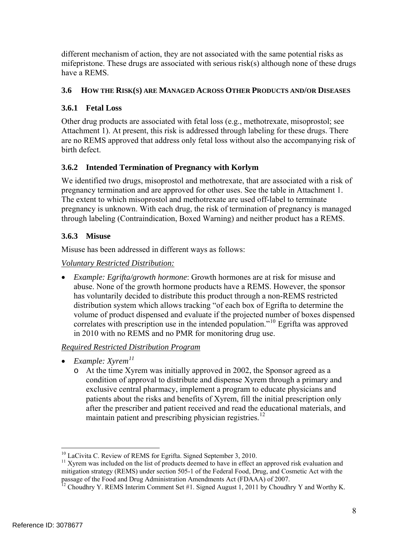different mechanism of action, they are not associated with the same potential risks as mifepristone. These drugs are associated with serious risk(s) although none of these drugs have a REMS.

## **3.6 HOW THE RISK(S) ARE MANAGED ACROSS OTHER PRODUCTS AND/OR DISEASES**

## **3.6.1 Fetal Loss**

Other drug products are associated with fetal loss (e.g., methotrexate, misoprostol; see Attachment 1). At present, this risk is addressed through labeling for these drugs. There are no REMS approved that address only fetal loss without also the accompanying risk of birth defect.

## **3.6.2 Intended Termination of Pregnancy with Korlym**

We identified two drugs, misoprostol and methotrexate, that are associated with a risk of pregnancy termination and are approved for other uses. See the table in Attachment 1. The extent to which misoprostol and methotrexate are used off-label to terminate pregnancy is unknown. With each drug, the risk of termination of pregnancy is managed through labeling (Contraindication, Boxed Warning) and neither product has a REMS.

## **3.6.3 Misuse**

Misuse has been addressed in different ways as follows:

#### *Voluntary Restricted Distribution:*

 *Example: Egrifta/growth hormone*: Growth hormones are at risk for misuse and abuse. None of the growth hormone products have a REMS. However, the sponsor has voluntarily decided to distribute this product through a non-REMS restricted distribution system which allows tracking "of each box of Egrifta to determine the volume of product dispensed and evaluate if the projected number of boxes dispensed correlates with prescription use in the intended population."<sup>10</sup> Egrifta was approved in 2010 with no REMS and no PMR for monitoring drug use.

## *Required Restricted Distribution Program*

- *Example: Xyrem<sup>11</sup>*
	- o At the time Xyrem was initially approved in 2002, the Sponsor agreed as a condition of approval to distribute and dispense Xyrem through a primary and exclusive central pharmacy, implement a program to educate physicians and patients about the risks and benefits of Xyrem, fill the initial prescription only after the prescriber and patient received and read the educational materials, and maintain patient and prescribing physician registries.<sup>12</sup>

 $\overline{a}$ 

 $10$  LaCivita C. Review of REMS for Egrifta. Signed September 3, 2010.

<sup>&</sup>lt;sup>11</sup> Xyrem was included on the list of products deemed to have in effect an approved risk evaluation and mitigation strategy (REMS) under section 505-1 of the Federal Food, Drug, and Cosmetic Act with the passage of the Food and Drug Administration Amendments Act (FDAAA) of 2007.

 $^{12}$  Choudhry Y. REMS Interim Comment Set #1. Signed August 1, 2011 by Choudhry Y and Worthy K.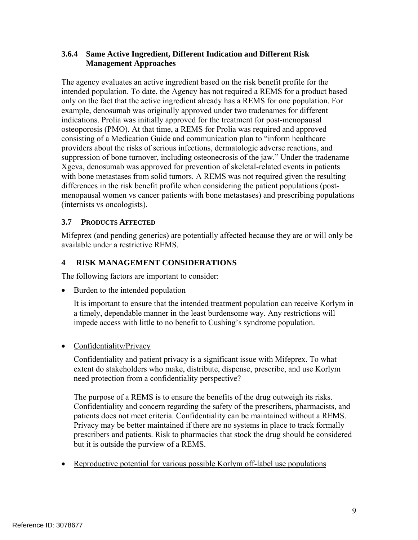#### **3.6.4 Same Active Ingredient, Different Indication and Different Risk Management Approaches**

The agency evaluates an active ingredient based on the risk benefit profile for the intended population. To date, the Agency has not required a REMS for a product based only on the fact that the active ingredient already has a REMS for one population. For example, denosumab was originally approved under two tradenames for different indications. Prolia was initially approved for the treatment for post-menopausal osteoporosis (PMO). At that time, a REMS for Prolia was required and approved consisting of a Medication Guide and communication plan to "inform healthcare providers about the risks of serious infections, dermatologic adverse reactions, and suppression of bone turnover, including osteonecrosis of the jaw." Under the tradename Xgeva, denosumab was approved for prevention of skeletal-related events in patients with bone metastases from solid tumors. A REMS was not required given the resulting differences in the risk benefit profile when considering the patient populations (postmenopausal women vs cancer patients with bone metastases) and prescribing populations (internists vs oncologists).

#### **3.7 PRODUCTS AFFECTED**

Mifeprex (and pending generics) are potentially affected because they are or will only be available under a restrictive REMS.

#### **4 RISK MANAGEMENT CONSIDERATIONS**

The following factors are important to consider:

• Burden to the intended population

It is important to ensure that the intended treatment population can receive Korlym in a timely, dependable manner in the least burdensome way. Any restrictions will impede access with little to no benefit to Cushing's syndrome population.

#### • Confidentiality/Privacy

Confidentiality and patient privacy is a significant issue with Mifeprex. To what extent do stakeholders who make, distribute, dispense, prescribe, and use Korlym need protection from a confidentiality perspective?

The purpose of a REMS is to ensure the benefits of the drug outweigh its risks. Confidentiality and concern regarding the safety of the prescribers, pharmacists, and patients does not meet criteria. Confidentiality can be maintained without a REMS. Privacy may be better maintained if there are no systems in place to track formally prescribers and patients. Risk to pharmacies that stock the drug should be considered but it is outside the purview of a REMS.

Reproductive potential for various possible Korlym off-label use populations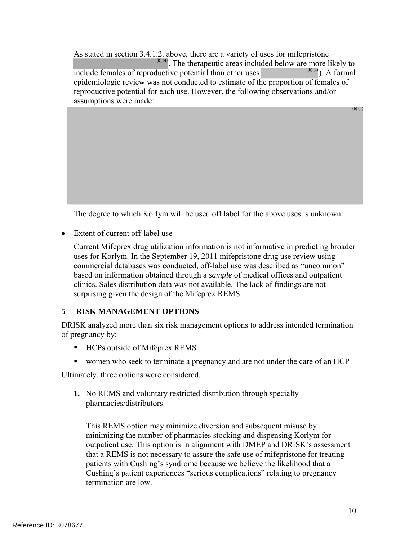As stated in section 3.4.1.2. above, there are a variety of uses for mifepristone  $\binom{b}{4}$ . The therapeutic areas included below are more likely to include females of reproductive potential than other uses epidemiologic review was not conducted to estimate of the proportion of females of reproductive potential for each use. However, the following observations and/or assumptions were made:  $\overline{(\mathfrak{b})^{(4)}}$ ). A formal (b) (4)

The degree to which Korlym will be used off label for the above uses is unknown.

• Extent of current off-label use

Current Mifeprex drug utilization information is not informative in predicting broader uses for Korlym. In the September 19, 2011 mifepristone drug use review using commercial databases was conducted, off-label use was described as "uncommon" based on information obtained through a *sample* of medical offices and outpatient clinics. Sales distribution data was not available. The lack of findings are not surprising given the design of the Mifeprex REMS.

## **5 RISK MANAGEMENT OPTIONS**

DRISK analyzed more than six risk management options to address intended termination of pregnancy by:

- HCPs outside of Mifeprex REMS
- women who seek to terminate a pregnancy and are not under the care of an HCP

Ultimately, three options were considered.

**1.** No REMS and voluntary restricted distribution through specialty pharmacies/distributors

This REMS option may minimize diversion and subsequent misuse by minimizing the number of pharmacies stocking and dispensing Korlym for outpatient use. This option is in alignment with DMEP and DRISK's assessment that a REMS is not necessary to assure the safe use of mifepristone for treating patients with Cushing's syndrome because we believe the likelihood that a Cushing's patient experiences "serious complications" relating to pregnancy termination are low.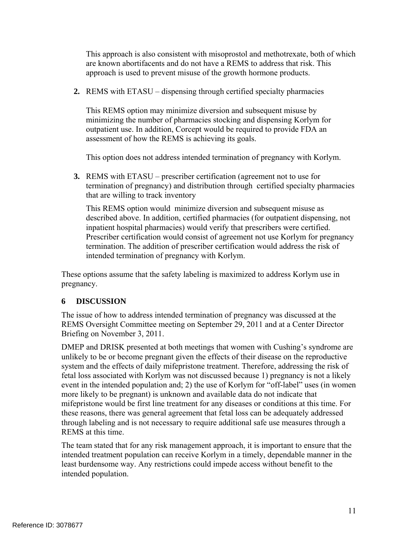This approach is also consistent with misoprostol and methotrexate, both of which are known abortifacents and do not have a REMS to address that risk. This approach is used to prevent misuse of the growth hormone products.

**2.** REMS with ETASU – dispensing through certified specialty pharmacies

This REMS option may minimize diversion and subsequent misuse by minimizing the number of pharmacies stocking and dispensing Korlym for outpatient use. In addition, Corcept would be required to provide FDA an assessment of how the REMS is achieving its goals.

This option does not address intended termination of pregnancy with Korlym.

**3.** REMS with ETASU – prescriber certification (agreement not to use for termination of pregnancy) and distribution through certified specialty pharmacies that are willing to track inventory

This REMS option would minimize diversion and subsequent misuse as described above. In addition, certified pharmacies (for outpatient dispensing, not inpatient hospital pharmacies) would verify that prescribers were certified. Prescriber certification would consist of agreement not use Korlym for pregnancy termination. The addition of prescriber certification would address the risk of intended termination of pregnancy with Korlym.

These options assume that the safety labeling is maximized to address Korlym use in pregnancy.

## **6 DISCUSSION**

The issue of how to address intended termination of pregnancy was discussed at the REMS Oversight Committee meeting on September 29, 2011 and at a Center Director Briefing on November 3, 2011.

DMEP and DRISK presented at both meetings that women with Cushing's syndrome are unlikely to be or become pregnant given the effects of their disease on the reproductive system and the effects of daily mifepristone treatment. Therefore, addressing the risk of fetal loss associated with Korlym was not discussed because 1) pregnancy is not a likely event in the intended population and; 2) the use of Korlym for "off-label" uses (in women more likely to be pregnant) is unknown and available data do not indicate that mifepristone would be first line treatment for any diseases or conditions at this time. For these reasons, there was general agreement that fetal loss can be adequately addressed through labeling and is not necessary to require additional safe use measures through a REMS at this time.

The team stated that for any risk management approach, it is important to ensure that the intended treatment population can receive Korlym in a timely, dependable manner in the least burdensome way. Any restrictions could impede access without benefit to the intended population.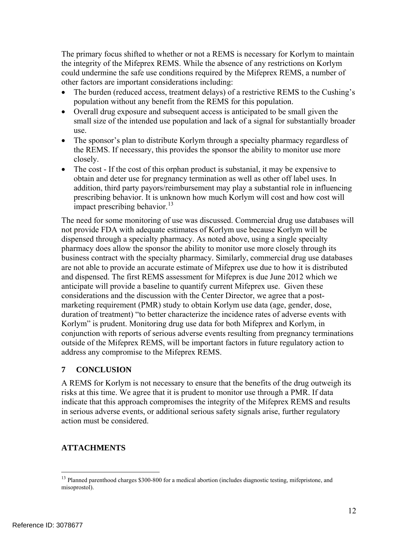The primary focus shifted to whether or not a REMS is necessary for Korlym to maintain the integrity of the Mifeprex REMS. While the absence of any restrictions on Korlym could undermine the safe use conditions required by the Mifeprex REMS, a number of other factors are important considerations including:

- The burden (reduced access, treatment delays) of a restrictive REMS to the Cushing's population without any benefit from the REMS for this population.
- Overall drug exposure and subsequent access is anticipated to be small given the small size of the intended use population and lack of a signal for substantially broader use.
- The sponsor's plan to distribute Korlym through a specialty pharmacy regardless of the REMS. If necessary, this provides the sponsor the ability to monitor use more closely.
- The cost If the cost of this orphan product is substanial, it may be expensive to obtain and deter use for pregnancy termination as well as other off label uses. In addition, third party payors/reimbursement may play a substantial role in influencing prescribing behavior. It is unknown how much Korlym will cost and how cost will impact prescribing behavior.<sup>13</sup>

The need for some monitoring of use was discussed. Commercial drug use databases will not provide FDA with adequate estimates of Korlym use because Korlym will be dispensed through a specialty pharmacy. As noted above, using a single specialty pharmacy does allow the sponsor the ability to monitor use more closely through its business contract with the specialty pharmacy. Similarly, commercial drug use databases are not able to provide an accurate estimate of Mifeprex use due to how it is distributed and dispensed. The first REMS assessment for Mifeprex is due June 2012 which we anticipate will provide a baseline to quantify current Mifeprex use. Given these considerations and the discussion with the Center Director, we agree that a postmarketing requirement (PMR) study to obtain Korlym use data (age, gender, dose, duration of treatment) "to better characterize the incidence rates of adverse events with Korlym" is prudent. Monitoring drug use data for both Mifeprex and Korlym, in conjunction with reports of serious adverse events resulting from pregnancy terminations outside of the Mifeprex REMS, will be important factors in future regulatory action to address any compromise to the Mifeprex REMS.

## **7 CONCLUSION**

A REMS for Korlym is not necessary to ensure that the benefits of the drug outweigh its risks at this time. We agree that it is prudent to monitor use through a PMR. If data indicate that this approach compromises the integrity of the Mifeprex REMS and results in serious adverse events, or additional serious safety signals arise, further regulatory action must be considered.

## **ATTACHMENTS**

1

<sup>&</sup>lt;sup>13</sup> Planned parenthood charges \$300-800 for a medical abortion (includes diagnostic testing, mifepristone, and misoprostol).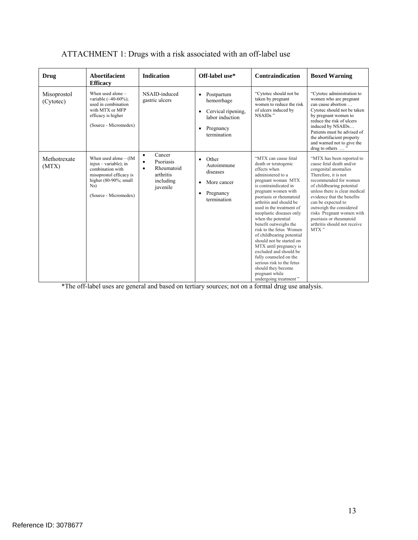| <b>Drug</b>              | Abortifacient<br><b>Efficacy</b>                                                                                                                               | <b>Indication</b>                                                                                              | Off-label use*                                                                                                                       | Contraindication                                                                                                                                                                                                                                                                                                                                                                                                                                                                                                                                                                     | <b>Boxed Warning</b>                                                                                                                                                                                                                                                                                                                                                        |
|--------------------------|----------------------------------------------------------------------------------------------------------------------------------------------------------------|----------------------------------------------------------------------------------------------------------------|--------------------------------------------------------------------------------------------------------------------------------------|--------------------------------------------------------------------------------------------------------------------------------------------------------------------------------------------------------------------------------------------------------------------------------------------------------------------------------------------------------------------------------------------------------------------------------------------------------------------------------------------------------------------------------------------------------------------------------------|-----------------------------------------------------------------------------------------------------------------------------------------------------------------------------------------------------------------------------------------------------------------------------------------------------------------------------------------------------------------------------|
| Misoprostol<br>(Cytotec) | When used alone -<br>variable $(-40-60\%)$ ;<br>used in combination<br>with MTX or MFP<br>efficacy is higher<br>(Source - Micromedex)                          | NSAID-induced<br>gastric ulcers                                                                                | Postpartum<br>$\bullet$<br>hemorrhage<br>Cervical ripening,<br>$\bullet$<br>labor induction<br>Pregnancy<br>$\bullet$<br>termination | "Cytotec should not be<br>taken by pregnant<br>women to reduce the risk<br>of ulcers induced by<br>NSAIDs"                                                                                                                                                                                                                                                                                                                                                                                                                                                                           | "Cytotec administration to<br>women who are pregnant<br>can cause abortion<br>Cytotec should not be taken<br>by pregnant women to<br>reduce the risk of ulcers<br>induced by NSAIDs<br>Patients must be advised of<br>the abortifacient property<br>and warned not to give the<br>drug to others $\ldots$ <sup>5</sup>                                                      |
| Methotrexate<br>(MTX)    | When used alone $-$ (IM<br>$injxn - variable$ ; in<br>combination with<br>misoprostol efficacy is<br>higher $(80-90\%; small)$<br>Ns)<br>(Source - Micromedex) | Cancer<br>$\bullet$<br>Psoriasis<br>$\bullet$<br>Rheumatoid<br>$\bullet$<br>arthritis<br>including<br>juvenile | Other<br>$\bullet$<br>Autoimmune<br>diseases<br>More cancer<br>$\bullet$<br>Pregnancy<br>$\bullet$<br>termination                    | "MTX can cause fetal<br>death or teratogenic<br>effects when<br>administered to a<br>pregnant woman MTX<br>is contraindicated in<br>pregnant women with<br>psoriasis or rheumatoid<br>arthritis and should be<br>used in the treatment of<br>neoplastic diseases only<br>when the potential<br>benefit outweighs the<br>risk to the fetus Women<br>of childbearing potential<br>should not be started on<br>MTX until pregnancy is<br>excluded and should be<br>fully counseled on the<br>serious risk to the fetus<br>should they become<br>pregnant while<br>undergoing treatment" | "MTX has been reported to<br>cause fetal death and/or<br>congenital anomalies<br>Therefore, it is not<br>recommended for women<br>of childbearing potential<br>unless there is clear medical<br>evidence that the benefits<br>can be expected to<br>outweigh the considered<br>risks Pregnant women with<br>psoriasis or rheumatoid<br>arthritis should not receive<br>MTX" |

## ATTACHMENT 1: Drugs with a risk associated with an off-label use

\*The off-label uses are general and based on tertiary sources; not on a formal drug use analysis.